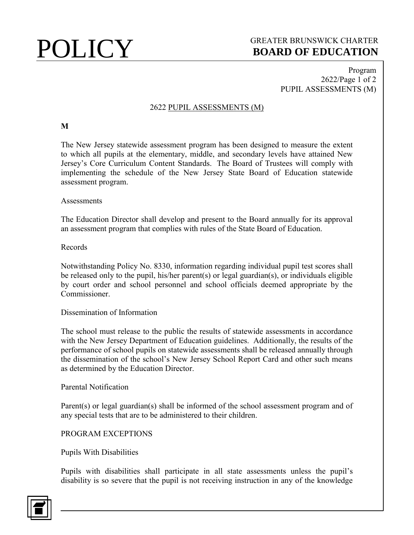# **POLICY** GREATER BRUNSWICK CHARTER<br>BOARD OF EDUCATION **BOARD OF EDUCATION**

Program 2622/Page 1 of 2 PUPIL ASSESSMENTS (M)

# 2622 PUPIL ASSESSMENTS (M)

## **M**

The New Jersey statewide assessment program has been designed to measure the extent to which all pupils at the elementary, middle, and secondary levels have attained New Jersey's Core Curriculum Content Standards. The Board of Trustees will comply with implementing the schedule of the New Jersey State Board of Education statewide assessment program.

#### **Assessments**

The Education Director shall develop and present to the Board annually for its approval an assessment program that complies with rules of the State Board of Education.

#### Records

Notwithstanding Policy No. 8330, information regarding individual pupil test scores shall be released only to the pupil, his/her parent(s) or legal guardian(s), or individuals eligible by court order and school personnel and school officials deemed appropriate by the Commissioner.

## Dissemination of Information

The school must release to the public the results of statewide assessments in accordance with the New Jersey Department of Education guidelines. Additionally, the results of the performance of school pupils on statewide assessments shall be released annually through the dissemination of the school's New Jersey School Report Card and other such means as determined by the Education Director.

#### Parental Notification

Parent(s) or legal guardian(s) shall be informed of the school assessment program and of any special tests that are to be administered to their children.

## PROGRAM EXCEPTIONS

## Pupils With Disabilities

Pupils with disabilities shall participate in all state assessments unless the pupil's disability is so severe that the pupil is not receiving instruction in any of the knowledge